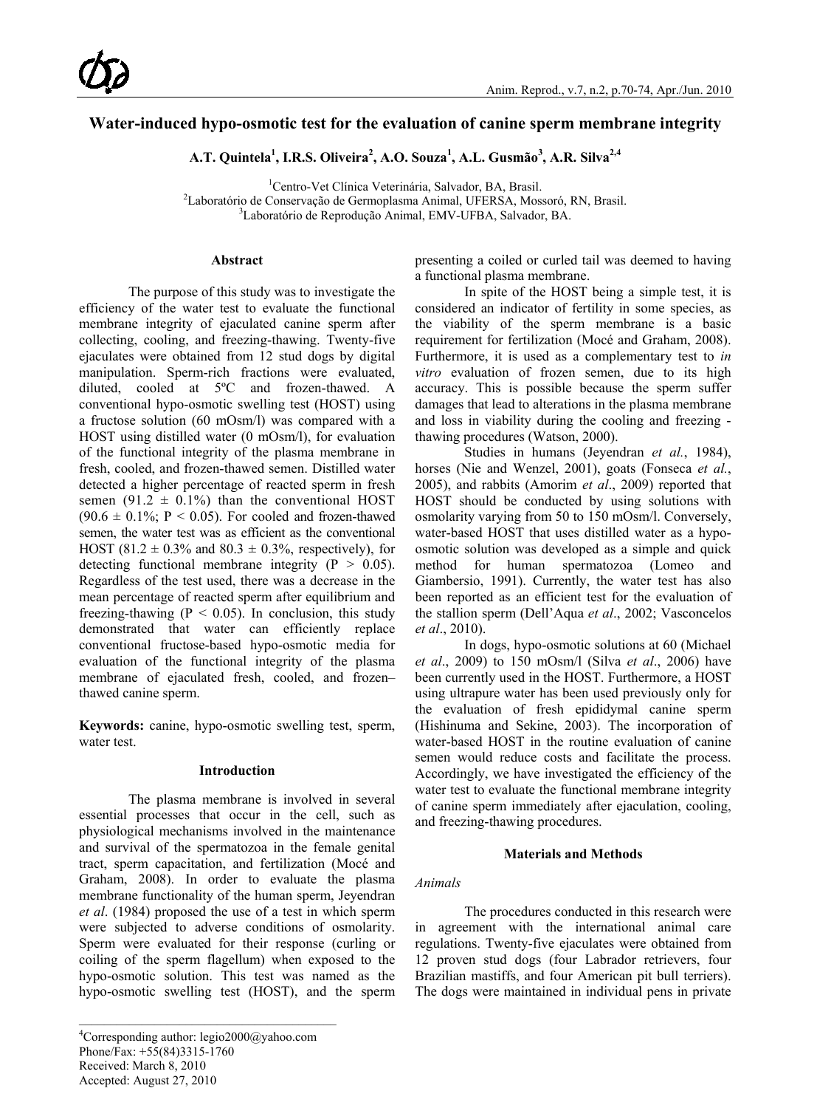# **Water-induced hypo-osmotic test for the evaluation of canine sperm membrane integrity**

**A.T. Quintela1 , I.R.S. Oliveira<sup>2</sup> , A.O. Souza<sup>1</sup> , A.L. Gusmão<sup>3</sup> , A.R. Silva2,4**

<sup>1</sup>Centro-Vet Clínica Veterinária, Salvador, BA, Brasil. <sup>1</sup>Centro-Vet Clínica Veterinária, Salvador, BA, Brasil.<br><sup>2</sup>Laboratório de Conservação de Germonisma Animal, UEERSA, Mos Laboratório de Conservação de Germoplasma Animal, UFERSA, Mossoró, RN, Brasil.<br><sup>3</sup>Laboratório de Penrodução Animal, EMV UERA, Salvador, BA. Laboratório de Reprodução Animal, EMV-UFBA, Salvador, BA.

### **Abstract**

The purpose of this study was to investigate the efficiency of the water test to evaluate the functional membrane integrity of ejaculated canine sperm after collecting, cooling, and freezing-thawing. Twenty-five ejaculates were obtained from 12 stud dogs by digital manipulation. Sperm-rich fractions were evaluated, diluted, cooled at 5ºC and frozen-thawed. A conventional hypo-osmotic swelling test (HOST) using a fructose solution (60 mOsm/l) was compared with a HOST using distilled water (0 mOsm/l), for evaluation of the functional integrity of the plasma membrane in fresh, cooled, and frozen-thawed semen. Distilled water detected a higher percentage of reacted sperm in fresh semen (91.2  $\pm$  0.1%) than the conventional HOST  $(90.6 \pm 0.1\%; P \le 0.05)$ . For cooled and frozen-thawed semen, the water test was as efficient as the conventional HOST (81.2  $\pm$  0.3% and 80.3  $\pm$  0.3%, respectively), for detecting functional membrane integrity ( $P > 0.05$ ). Regardless of the test used, there was a decrease in the mean percentage of reacted sperm after equilibrium and freezing-thawing ( $P < 0.05$ ). In conclusion, this study demonstrated that water can efficiently replace conventional fructose-based hypo-osmotic media for evaluation of the functional integrity of the plasma membrane of ejaculated fresh, cooled, and frozen– thawed canine sperm.

**Keywords:** canine, hypo-osmotic swelling test, sperm, water test.

#### **Introduction**

The plasma membrane is involved in several essential processes that occur in the cell, such as physiological mechanisms involved in the maintenance and survival of the spermatozoa in the female genital tract, sperm capacitation, and fertilization (Mocé and Graham, 2008). In order to evaluate the plasma membrane functionality of the human sperm, Jeyendran *et al*. (1984) proposed the use of a test in which sperm were subjected to adverse conditions of osmolarity. Sperm were evaluated for their response (curling or coiling of the sperm flagellum) when exposed to the hypo-osmotic solution. This test was named as the hypo-osmotic swelling test (HOST), and the sperm

presenting a coiled or curled tail was deemed to having a functional plasma membrane.

In spite of the HOST being a simple test, it is considered an indicator of fertility in some species, as the viability of the sperm membrane is a basic requirement for fertilization (Mocé and Graham, 2008). Furthermore, it is used as a complementary test to *in vitro* evaluation of frozen semen, due to its high accuracy. This is possible because the sperm suffer damages that lead to alterations in the plasma membrane and loss in viability during the cooling and freezing thawing procedures (Watson, 2000).

Studies in humans (Jeyendran *et al.*, 1984), horses (Nie and Wenzel, 2001), goats (Fonseca *et al.*, 2005), and rabbits (Amorim *et al*., 2009) reported that HOST should be conducted by using solutions with osmolarity varying from 50 to 150 mOsm/l. Conversely, water-based HOST that uses distilled water as a hypoosmotic solution was developed as a simple and quick method for human spermatozoa (Lomeo and Giambersio, 1991). Currently, the water test has also been reported as an efficient test for the evaluation of the stallion sperm (Dell'Aqua *et al*., 2002; Vasconcelos *et al*., 2010).

In dogs, hypo-osmotic solutions at 60 (Michael *et al*., 2009) to 150 mOsm/l (Silva *et al*., 2006) have been currently used in the HOST. Furthermore, a HOST using ultrapure water has been used previously only for the evaluation of fresh epididymal canine sperm (Hishinuma and Sekine, 2003). The incorporation of water-based HOST in the routine evaluation of canine semen would reduce costs and facilitate the process. Accordingly, we have investigated the efficiency of the water test to evaluate the functional membrane integrity of canine sperm immediately after ejaculation, cooling, and freezing-thawing procedures.

#### **Materials and Methods**

#### *Animals*

The procedures conducted in this research were in agreement with the international animal care regulations. Twenty-five ejaculates were obtained from 12 proven stud dogs (four Labrador retrievers, four Brazilian mastiffs, and four American pit bull terriers). The dogs were maintained in individual pens in private

<sup>&</sup>lt;sup>4</sup>Corresponding author: legio2000@yahoo.com Phone/Fax: +55(84)3315-1760 Received: March 8, 2010 Accepted: August 27, 2010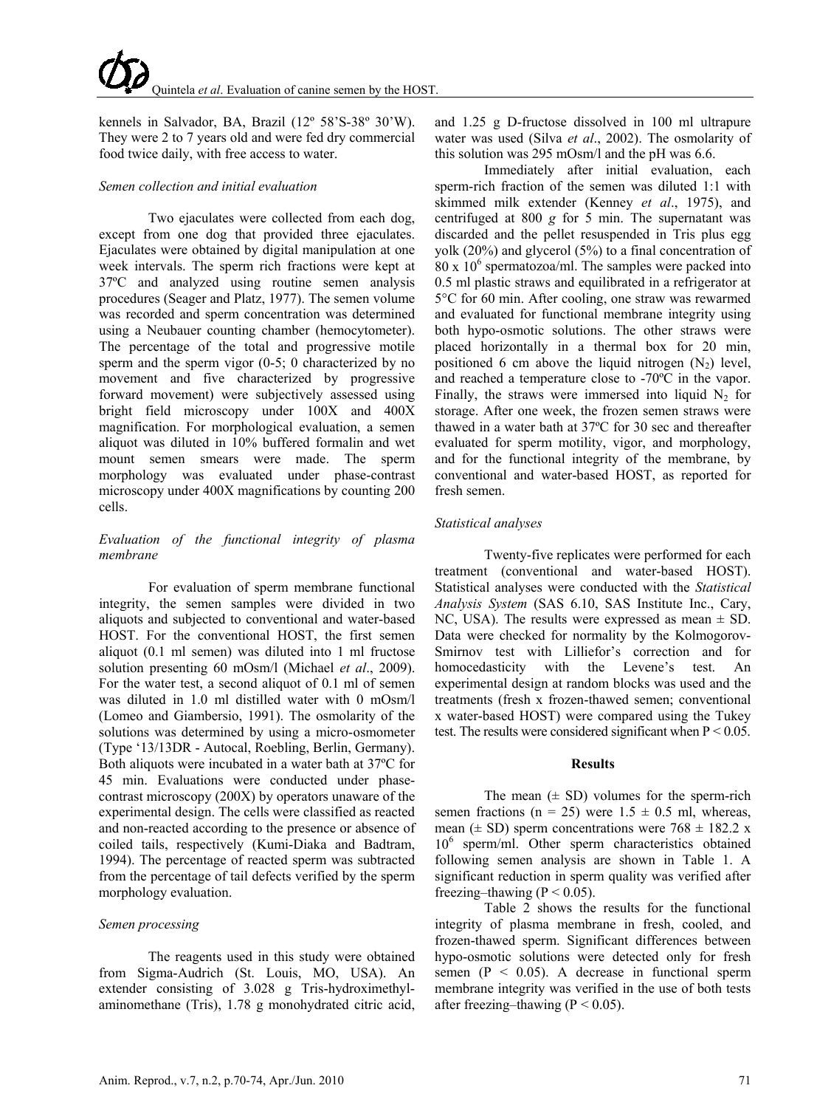kennels in Salvador, BA, Brazil (12º 58'S-38º 30'W). They were 2 to 7 years old and were fed dry commercial food twice daily, with free access to water.

#### *Semen collection and initial evaluation*

Two ejaculates were collected from each dog, except from one dog that provided three ejaculates. Ejaculates were obtained by digital manipulation at one week intervals. The sperm rich fractions were kept at 37ºC and analyzed using routine semen analysis procedures (Seager and Platz, 1977). The semen volume was recorded and sperm concentration was determined using a Neubauer counting chamber (hemocytometer). The percentage of the total and progressive motile sperm and the sperm vigor (0-5; 0 characterized by no movement and five characterized by progressive forward movement) were subjectively assessed using bright field microscopy under 100X and 400X magnification. For morphological evaluation, a semen aliquot was diluted in 10% buffered formalin and wet mount semen smears were made. The sperm morphology was evaluated under phase-contrast microscopy under 400X magnifications by counting 200 cells.

# *Evaluation of the functional integrity of plasma membrane*

For evaluation of sperm membrane functional integrity, the semen samples were divided in two aliquots and subjected to conventional and water-based HOST. For the conventional HOST, the first semen aliquot (0.1 ml semen) was diluted into 1 ml fructose solution presenting 60 mOsm/l (Michael *et al*., 2009). For the water test, a second aliquot of 0.1 ml of semen was diluted in 1.0 ml distilled water with 0 mOsm/l (Lomeo and Giambersio, 1991). The osmolarity of the solutions was determined by using a micro-osmometer (Type '13/13DR - Autocal, Roebling, Berlin, Germany). Both aliquots were incubated in a water bath at 37ºC for 45 min. Evaluations were conducted under phasecontrast microscopy (200X) by operators unaware of the experimental design. The cells were classified as reacted and non-reacted according to the presence or absence of coiled tails, respectively (Kumi-Diaka and Badtram, 1994). The percentage of reacted sperm was subtracted from the percentage of tail defects verified by the sperm morphology evaluation.

#### *Semen processing*

The reagents used in this study were obtained from Sigma-Audrich (St. Louis, MO, USA). An extender consisting of 3.028 g Tris-hydroximethylaminomethane (Tris), 1.78 g monohydrated citric acid, and 1.25 g D-fructose dissolved in 100 ml ultrapure water was used (Silva *et al*., 2002). The osmolarity of this solution was 295 mOsm/l and the pH was 6.6.

Immediately after initial evaluation, each sperm-rich fraction of the semen was diluted 1:1 with skimmed milk extender (Kenney *et al*., 1975), and centrifuged at 800 *g* for 5 min. The supernatant was discarded and the pellet resuspended in Tris plus egg yolk (20%) and glycerol (5%) to a final concentration of  $80 \times 10^6$  spermatozoa/ml. The samples were packed into 0.5 ml plastic straws and equilibrated in a refrigerator at 5°C for 60 min. After cooling, one straw was rewarmed and evaluated for functional membrane integrity using both hypo-osmotic solutions. The other straws were placed horizontally in a thermal box for 20 min, positioned 6 cm above the liquid nitrogen  $(N_2)$  level, and reached a temperature close to -70ºC in the vapor. Finally, the straws were immersed into liquid  $N_2$  for storage. After one week, the frozen semen straws were thawed in a water bath at 37ºC for 30 sec and thereafter evaluated for sperm motility, vigor, and morphology, and for the functional integrity of the membrane, by conventional and water-based HOST, as reported for fresh semen.

# *Statistical analyses*

Twenty-five replicates were performed for each treatment (conventional and water-based HOST). Statistical analyses were conducted with the *Statistical Analysis System* (SAS 6.10, SAS Institute Inc., Cary, NC, USA). The results were expressed as mean ± SD. Data were checked for normality by the Kolmogorov-Smirnov test with Lilliefor's correction and for homocedasticity with the Levene's test. An experimental design at random blocks was used and the treatments (fresh x frozen-thawed semen; conventional x water-based HOST) were compared using the Tukey test. The results were considered significant when  $P \le 0.05$ .

#### **Results**

The mean  $(\pm SD)$  volumes for the sperm-rich semen fractions ( $n = 25$ ) were  $1.5 \pm 0.5$  ml, whereas, mean ( $\pm$  SD) sperm concentrations were 768  $\pm$  182.2 x  $10<sup>6</sup>$  sperm/ml. Other sperm characteristics obtained following semen analysis are shown in Table 1. A significant reduction in sperm quality was verified after freezing–thawing ( $P \le 0.05$ ).

Table 2 shows the results for the functional integrity of plasma membrane in fresh, cooled, and frozen-thawed sperm. Significant differences between hypo-osmotic solutions were detected only for fresh semen ( $P < 0.05$ ). A decrease in functional sperm membrane integrity was verified in the use of both tests after freezing–thawing ( $P < 0.05$ ).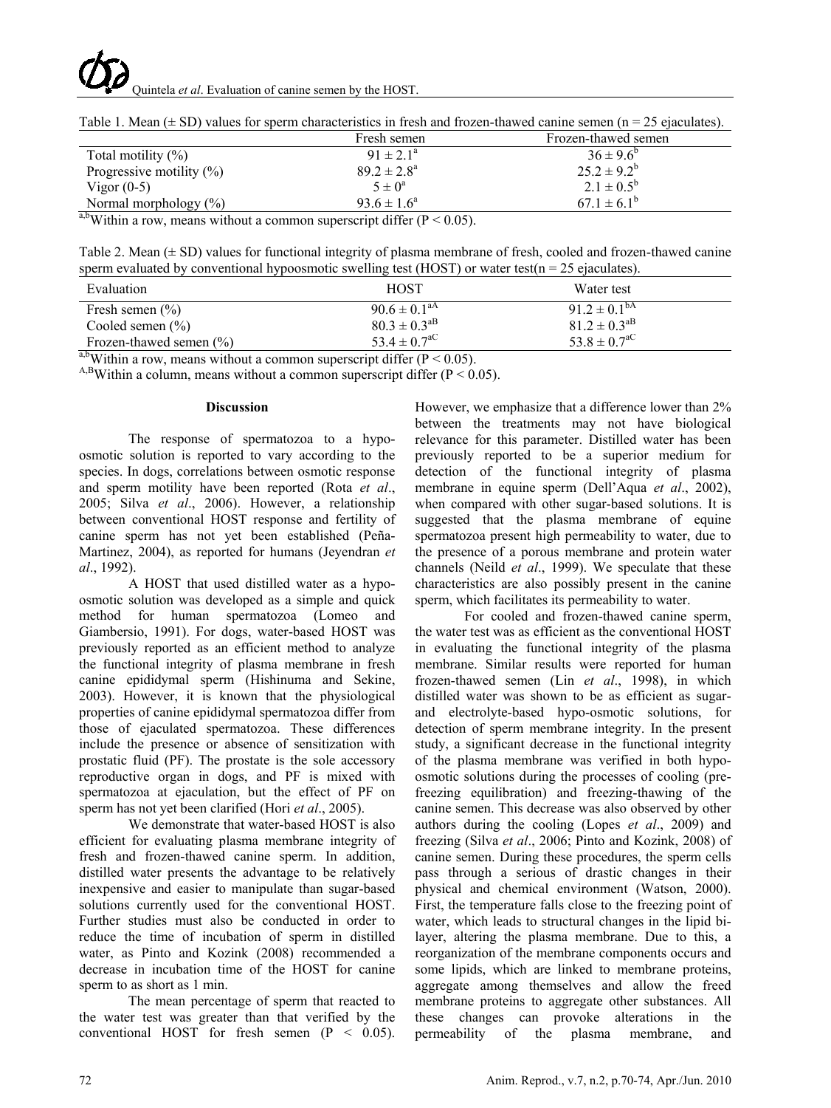# Quintela *et al*. Evaluation of canine semen by the HOST.

|                              | Fresh semen            | Frozen-thawed semen   |
|------------------------------|------------------------|-----------------------|
| Total motility $(\%)$        | $91 \pm 2.1^a$         | $36 \pm 9.6^{\circ}$  |
| Progressive motility $(\% )$ | $89.2 \pm 2.8^{\circ}$ | $25.2 \pm 9.2^b$      |
| Vigor $(0-5)$                | $5 \pm 0^a$            | $2.1 \pm 0.5^{\rm b}$ |
| Normal morphology $(\%)$     | $93.6 \pm 1.6^a$       | $67.1 \pm 6.1^b$      |

Table 1. Mean  $(\pm SD)$  values for sperm characteristics in fresh and frozen-thawed canine semen (n = 25 ejaculates).

<sup>a,b</sup>Within a row, means without a common superscript differ ( $P < 0.05$ ).

Table 2. Mean  $(\pm SD)$  values for functional integrity of plasma membrane of fresh, cooled and frozen-thawed canine sperm evaluated by conventional hypoosmotic swelling test (HOST) or water test( $n = 25$  ejaculates).

| Evaluation                  | HOST                         | Water test                   |
|-----------------------------|------------------------------|------------------------------|
| Fresh semen $(\% )$         | $90.6 \pm 0.1$ <sup>aA</sup> | $91.2 \pm 0.1^{\text{bA}}$   |
| Cooled semen $(\% )$        | $80.3 \pm 0.3$ <sup>aB</sup> | $81.2 \pm 0.3$ <sup>aB</sup> |
| Frozen-thawed semen $(\% )$ | 53.4 $\pm$ 0.7 <sup>aC</sup> | $53.8 \pm 0.7$ <sup>aC</sup> |

<sup>a,b</sup>Within a row, means without a common superscript differ (P < 0.05). A,<sup>B</sup>Within a column, means without a common superscript differ (P < 0.05).

#### **Discussion**

The response of spermatozoa to a hypoosmotic solution is reported to vary according to the species. In dogs, correlations between osmotic response and sperm motility have been reported (Rota *et al*., 2005; Silva *et al*., 2006). However, a relationship between conventional HOST response and fertility of canine sperm has not yet been established (Peña-Martinez, 2004), as reported for humans (Jeyendran *et al*., 1992).

A HOST that used distilled water as a hypoosmotic solution was developed as a simple and quick method for human spermatozoa (Lomeo and Giambersio, 1991). For dogs, water-based HOST was previously reported as an efficient method to analyze the functional integrity of plasma membrane in fresh canine epididymal sperm (Hishinuma and Sekine, 2003). However, it is known that the physiological properties of canine epididymal spermatozoa differ from those of ejaculated spermatozoa. These differences include the presence or absence of sensitization with prostatic fluid (PF). The prostate is the sole accessory reproductive organ in dogs, and PF is mixed with spermatozoa at ejaculation, but the effect of PF on sperm has not yet been clarified (Hori *et al*., 2005).

We demonstrate that water-based HOST is also efficient for evaluating plasma membrane integrity of fresh and frozen-thawed canine sperm. In addition, distilled water presents the advantage to be relatively inexpensive and easier to manipulate than sugar-based solutions currently used for the conventional HOST. Further studies must also be conducted in order to reduce the time of incubation of sperm in distilled water, as Pinto and Kozink (2008) recommended a decrease in incubation time of the HOST for canine sperm to as short as 1 min.

The mean percentage of sperm that reacted to the water test was greater than that verified by the conventional HOST for fresh semen (P < 0.05). However, we emphasize that a difference lower than 2% between the treatments may not have biological relevance for this parameter. Distilled water has been previously reported to be a superior medium for detection of the functional integrity of plasma membrane in equine sperm (Dell'Aqua *et al*., 2002), when compared with other sugar-based solutions. It is suggested that the plasma membrane of equine spermatozoa present high permeability to water, due to the presence of a porous membrane and protein water channels (Neild *et al*., 1999). We speculate that these characteristics are also possibly present in the canine sperm, which facilitates its permeability to water.

For cooled and frozen-thawed canine sperm, the water test was as efficient as the conventional HOST in evaluating the functional integrity of the plasma membrane. Similar results were reported for human frozen-thawed semen (Lin *et al*., 1998), in which distilled water was shown to be as efficient as sugarand electrolyte-based hypo-osmotic solutions, for detection of sperm membrane integrity. In the present study, a significant decrease in the functional integrity of the plasma membrane was verified in both hypoosmotic solutions during the processes of cooling (prefreezing equilibration) and freezing-thawing of the canine semen. This decrease was also observed by other authors during the cooling (Lopes *et al*., 2009) and freezing (Silva *et al*., 2006; Pinto and Kozink, 2008) of canine semen. During these procedures, the sperm cells pass through a serious of drastic changes in their physical and chemical environment (Watson, 2000). First, the temperature falls close to the freezing point of water, which leads to structural changes in the lipid bilayer, altering the plasma membrane. Due to this, a reorganization of the membrane components occurs and some lipids, which are linked to membrane proteins, aggregate among themselves and allow the freed membrane proteins to aggregate other substances. All these changes can provoke alterations in the permeability of the plasma membrane, and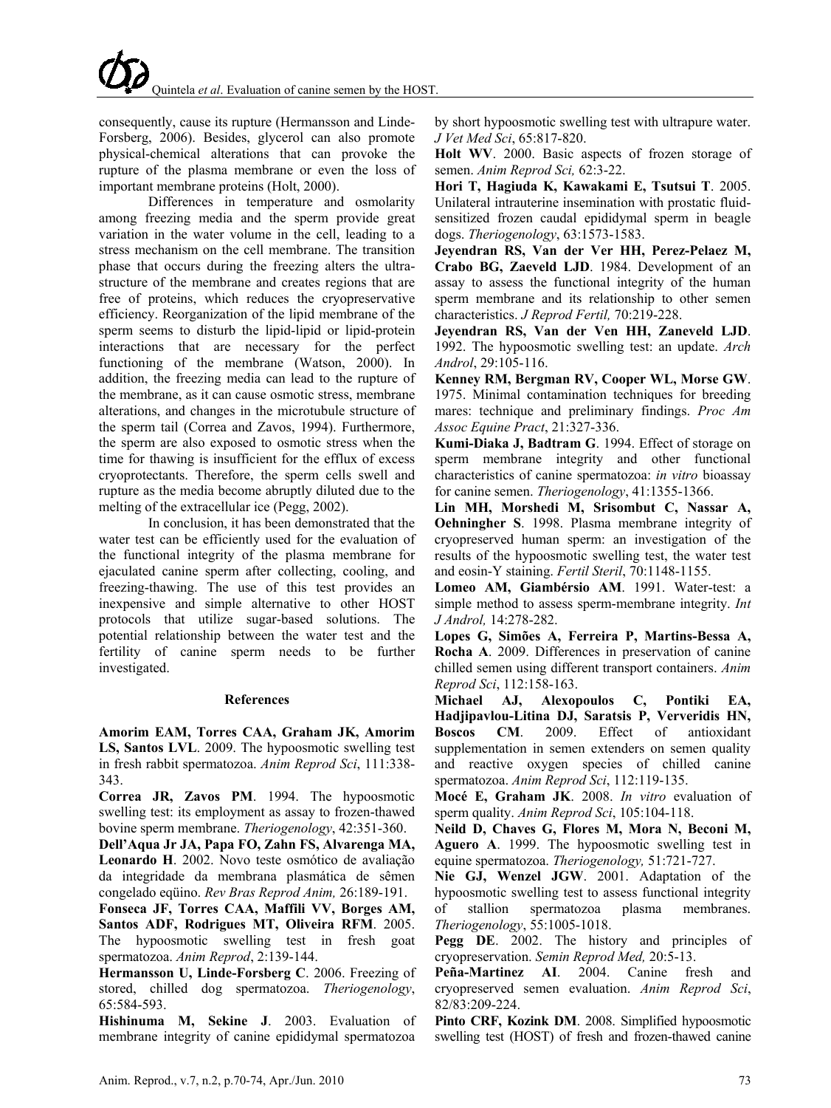consequently, cause its rupture (Hermansson and Linde-Forsberg, 2006). Besides, glycerol can also promote physical-chemical alterations that can provoke the rupture of the plasma membrane or even the loss of important membrane proteins (Holt, 2000).

Differences in temperature and osmolarity among freezing media and the sperm provide great variation in the water volume in the cell, leading to a stress mechanism on the cell membrane. The transition phase that occurs during the freezing alters the ultrastructure of the membrane and creates regions that are free of proteins, which reduces the cryopreservative efficiency. Reorganization of the lipid membrane of the sperm seems to disturb the lipid-lipid or lipid-protein interactions that are necessary for the perfect functioning of the membrane (Watson, 2000). In addition, the freezing media can lead to the rupture of the membrane, as it can cause osmotic stress, membrane alterations, and changes in the microtubule structure of the sperm tail (Correa and Zavos, 1994). Furthermore, the sperm are also exposed to osmotic stress when the time for thawing is insufficient for the efflux of excess cryoprotectants. Therefore, the sperm cells swell and rupture as the media become abruptly diluted due to the melting of the extracellular ice (Pegg, 2002).

In conclusion, it has been demonstrated that the water test can be efficiently used for the evaluation of the functional integrity of the plasma membrane for ejaculated canine sperm after collecting, cooling, and freezing-thawing. The use of this test provides an inexpensive and simple alternative to other HOST protocols that utilize sugar-based solutions. The potential relationship between the water test and the fertility of canine sperm needs to be further investigated.

#### **References**

**Amorim EAM, Torres CAA, Graham JK, Amorim LS, Santos LVL**. 2009. The hypoosmotic swelling test in fresh rabbit spermatozoa. *Anim Reprod Sci*, 111:338- 343.

**Correa JR, Zavos PM**. 1994. The hypoosmotic swelling test: its employment as assay to frozen-thawed bovine sperm membrane. *Theriogenology*, 42:351-360.

**Dell'Aqua Jr JA, Papa FO, Zahn FS, Alvarenga MA, Leonardo H**. 2002. Novo teste osmótico de avaliação da integridade da membrana plasmática de sêmen congelado eqüino. *Rev Bras Reprod Anim,* 26:189-191.

**Fonseca JF, Torres CAA, Maffili VV, Borges AM, Santos ADF, Rodrigues MT, Oliveira RFM**. 2005. The hypoosmotic swelling test in fresh goat spermatozoa. *Anim Reprod*, 2:139-144.

**Hermansson U, Linde-Forsberg C**. 2006. Freezing of stored, chilled dog spermatozoa. *Theriogenology*, 65:584-593.

**Hishinuma M, Sekine J**. 2003. Evaluation of membrane integrity of canine epididymal spermatozoa

by short hypoosmotic swelling test with ultrapure water. *J Vet Med Sci*, 65:817-820.

**Holt WV**. 2000. Basic aspects of frozen storage of semen. *Anim Reprod Sci,* 62:3-22.

**Hori T, Hagiuda K, Kawakami E, Tsutsui T**. 2005. Unilateral intrauterine insemination with prostatic fluidsensitized frozen caudal epididymal sperm in beagle dogs. *Theriogenology*, 63:1573-1583.

**Jeyendran RS, Van der Ver HH, Perez-Pelaez M, Crabo BG, Zaeveld LJD**. 1984. Development of an assay to assess the functional integrity of the human sperm membrane and its relationship to other semen characteristics. *J Reprod Fertil,* 70:219-228.

**Jeyendran RS, Van der Ven HH, Zaneveld LJD**. 1992. The hypoosmotic swelling test: an update. *Arch Androl*, 29:105-116.

**Kenney RM, Bergman RV, Cooper WL, Morse GW**. 1975. Minimal contamination techniques for breeding mares: technique and preliminary findings. *Proc Am Assoc Equine Pract*, 21:327-336.

**Kumi-Diaka J, Badtram G**. 1994. Effect of storage on sperm membrane integrity and other functional characteristics of canine spermatozoa: *in vitro* bioassay for canine semen. *Theriogenology*, 41:1355-1366.

**Lin MH, Morshedi M, Srisombut C, Nassar A, Oehningher S**. 1998. Plasma membrane integrity of cryopreserved human sperm: an investigation of the results of the hypoosmotic swelling test, the water test and eosin-Y staining. *Fertil Steril*, 70:1148-1155.

**Lomeo AM, Giambérsio AM**. 1991. Water-test: a simple method to assess sperm-membrane integrity. *Int J Androl,* 14:278-282.

**Lopes G, Simões A, Ferreira P, Martins-Bessa A, Rocha A**. 2009. Differences in preservation of canine chilled semen using different transport containers. *Anim Reprod Sci*, 112:158-163.

**Michael AJ, Alexopoulos C, Pontiki EA, Hadjipavlou-Litina DJ, Saratsis P, Ververidis HN, Boscos CM**. 2009. Effect of antioxidant supplementation in semen extenders on semen quality and reactive oxygen species of chilled canine spermatozoa. *Anim Reprod Sci*, 112:119-135.

**Mocé E, Graham JK**. 2008. *In vitro* evaluation of sperm quality. *Anim Reprod Sci*, 105:104-118.

**Neild D, Chaves G, Flores M, Mora N, Beconi M, Aguero A**. 1999. The hypoosmotic swelling test in equine spermatozoa. *Theriogenology,* 51:721-727.

**Nie GJ, Wenzel JGW**. 2001. Adaptation of the hypoosmotic swelling test to assess functional integrity of stallion spermatozoa plasma membranes. *Theriogenology*, 55:1005-1018.

**Pegg DE**. 2002. The history and principles of cryopreservation. *Semin Reprod Med,* 20:5-13.

**Peña-Martinez AI**. 2004. Canine fresh and cryopreserved semen evaluation. *Anim Reprod Sci*, 82/83:209-224.

**Pinto CRF, Kozink DM**. 2008. Simplified hypoosmotic swelling test (HOST) of fresh and frozen-thawed canine